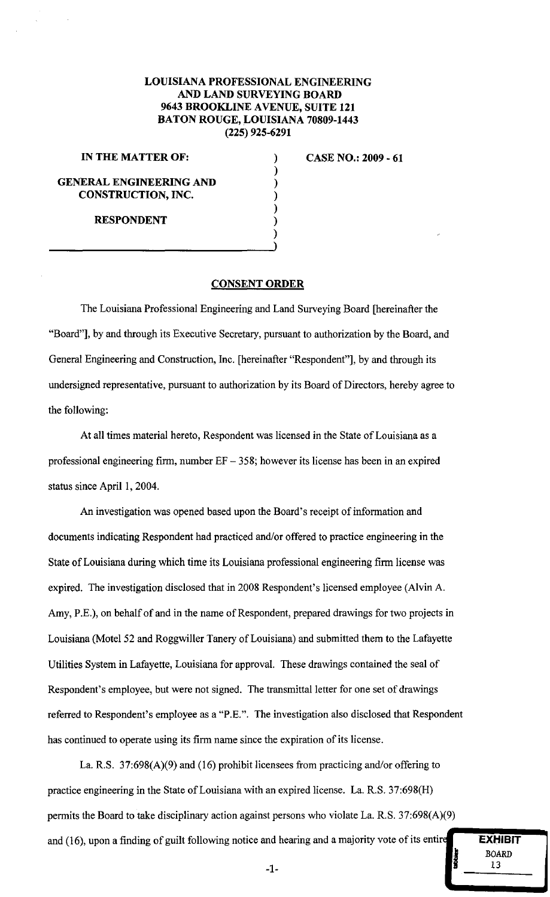## LOUISIANA PROFESSIONAL ENGINEERING AND LAND SURVEYING BOARD 9643 BROOKLINE AVENUE, SUITE 121 BATON ROUGE, LOUISIANA 70809-1443 (225) 925-6291

) ) ) ) ) ) )

## IN THE MATTER OF:

GENERAL ENGINEERING AND CONSTRUCTION, INC.

RESPONDENT

CASE NO.: 2009 - 61

## CONSENT ORDER

The Louisiana Professional Engineering and Land Surveying Board [hereinafter the "Board"], by and through its Executive Secretary, pursuant to authorization by the Board, and General Engineering and Construction, Inc. [hereinafter "Respondent"], by and through its undersigned representative, pursuant to authorization by its Board of Directors, hereby agree to the following:

At all times material hereto, Respondent was licensed in the State of Louisiana as a professional engineering firm, number  $EF - 358$ ; however its license has been in an expired status since April I, 2004.

An investigation was opened based upon the Board's receipt of information and documents indicating Respondent had practiced and/or offered to practice engineering in the State of Louisiana during which time its Louisiana professional engineering firm license was expired. The investigation disclosed that in 2008 Respondent's licensed employee (Alvin A. Amy, P.E.), on behalf of and in the name of Respondent, prepared drawings for two projects in Louisiana (Motel 52 and Roggwiller Tanery of Louisiana) and submitted them to the Lafayette Utilities System in Lafayette, Louisiana for approval. These drawings contained the seal of Respondent's employee, but were not signed. The transmittal letter for one set of drawings referred to Respondent's employee as a "P.E.". The investigation also disclosed that Respondent has continued to operate using its firm name since the expiration of its license.

La. R.S. 37:698(A)(9) and (16) prohibit licensees from practicing and/or offering to practice engineering in the State of Louisiana with an expired license. La. R.S. 37:698(H) permits the Board to take disciplinary action against persons who violate La. R.S. 37:698(A)(9) and (16), upon a finding of guilt following notice and hearing and a majority vote of its entir

**EXHIBIT** BOARD 13  $\frac{\text{BOARD}}{13}$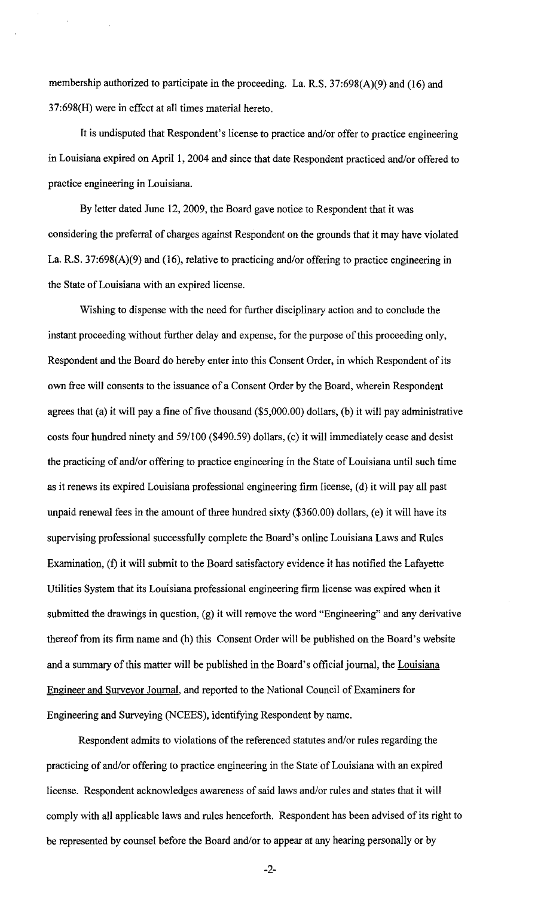membership authorized to participate in the proceeding. La. R.S. 37:698(A)(9) and (16) and 37:698(H) were in effect at all times material hereto.

It is undisputed that Respondent's license to practice and/or offer to practice engineering in Louisiana expired on April I, 2004 and since that date Respondent practiced and/or offered to practice engineering in Louisiana.

By letter dated June 12, 2009, the Board gave notice to Respondent that it was considering the preferral of charges against Respondent on the grounds that it may have violated La. R.S. 37:698(A)(9) and (16), relative to practicing and/or offering to practice engineering in the State of Louisiana with an expired license.

Wishing to dispense with the need for further disciplinary action and to conclude the instant proceeding without further delay and expense, for the purpose of this proceeding only, Respondent and the Board do hereby enter into this Consent Order, in which Respondent of its own free will consents to the issuance of a Consent Order by the Board, wherein Respondent agrees that (a) it will pay a fine of five thousand (\$5,000.00) dollars, (b) it will pay administrative costs four hundred ninety and 59/100 (\$490.59) dollars, (c) it will immediately cease and desist the practicing of and/or offering to practice engineering in the State of Louisiana until such time as it renews its expired Louisiana professional engineering firm license, (d) it will pay all past unpaid renewal fees in the amount of three hundred sixty (\$360.00) dollars, (e) it will have its supervising professional successfully complete the Board's online Louisiana Laws and Rules Examination, (f) it will submit to the Board satisfactory evidence it has notified the Lafayette Utilities System that its Louisiana professional engineering firm license was expired when it submitted the drawings in question, (g) it will remove the word "Engineering" and any derivative thereof from its firm name and (h) this Consent Order will be published on the Board's website and a summary of this matter will be published in the Board's official journal, the Louisiana Engineer and Surveyor Journal, and reported to the National Council of Examiners for Engineering and Surveying (NCEES), identifying Respondent by name.

Respondent admits to violations of the referenced statutes and/or rules regarding the practicing of and/or offering to practice engineering in the State of Louisiana with an expired license. Respondent acknowledges awareness of said laws and/or rules and states that it will comply with all applicable laws and rules henceforth. Respondent has been advised of its right to be represented by counsel before the Board and/or to appear at any hearing personally or by

-2-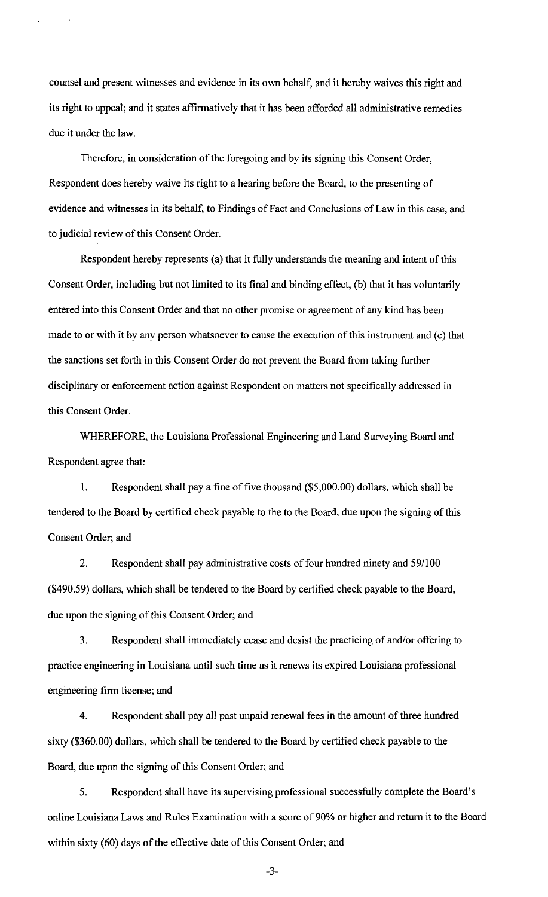counsel and present witnesses and evidence in its own behalf, and it hereby waives this right and its right to appeal; and it states affirmatively that it has been afforded all administrative remedies due it under the law.

Therefore, in consideration of the foregoing and by its signing this Consent Order, Respondent does hereby waive its right to a hearing before the Board, to the presenting of evidence and witnesses in its behalf, to Findings of Fact and Conclusions of Law in this case, and to judicial review of this Consent Order.

Respondent hereby represents (a) that it fully understands the meaning and intent of this Consent Order, including but not limited to its final and binding effect, (b) that it has voluntarily entered into this Consent Order and that no other promise or agreement of any kind has been made to or with it by any person whatsoever to cause the execution of this instrument and (c) that the sanctions set forth in this Consent Order do not prevent the Board from taking further disciplinary or enforcement action against Respondent on matters not specifically addressed in this Consent Order.

WHEREFORE, the Louisiana Professional Engineering and Land Surveying Board and Respondent agree that:

I. Respondent shall pay a fine of five thousand (\$5,000.00) dollars, which shall be tendered to the Board by certified check payable to the to the Board, due upon the signing of this Consent Order; and

2. Respondent shall pay administrative costs of four hundred ninety and 59/100 (\$490.59) dollars, which shall be tendered to the Board by certified check payable to the Board, due upon the signing of this Consent Order; and

3. Respondent shall immediately cease and desist the practicing of and/or offering to practice engineering in Louisiana until such time as it renews its expired Louisiana professional engineering firm license; and

4. Respondent shall pay all past unpaid renewal fees in the amount of three hundred sixty (\$360.00) dollars, which shall be tendered to the Board by certified check payable to the Board, due upon the signing of this Consent Order; and

5. Respondent shall have its supervising professional successfully complete the Board's online Louisiana Laws and Rules Examination with a score of 90% or higher and return it to the Board within sixty (60) days of the effective date of this Consent Order; and

-3-